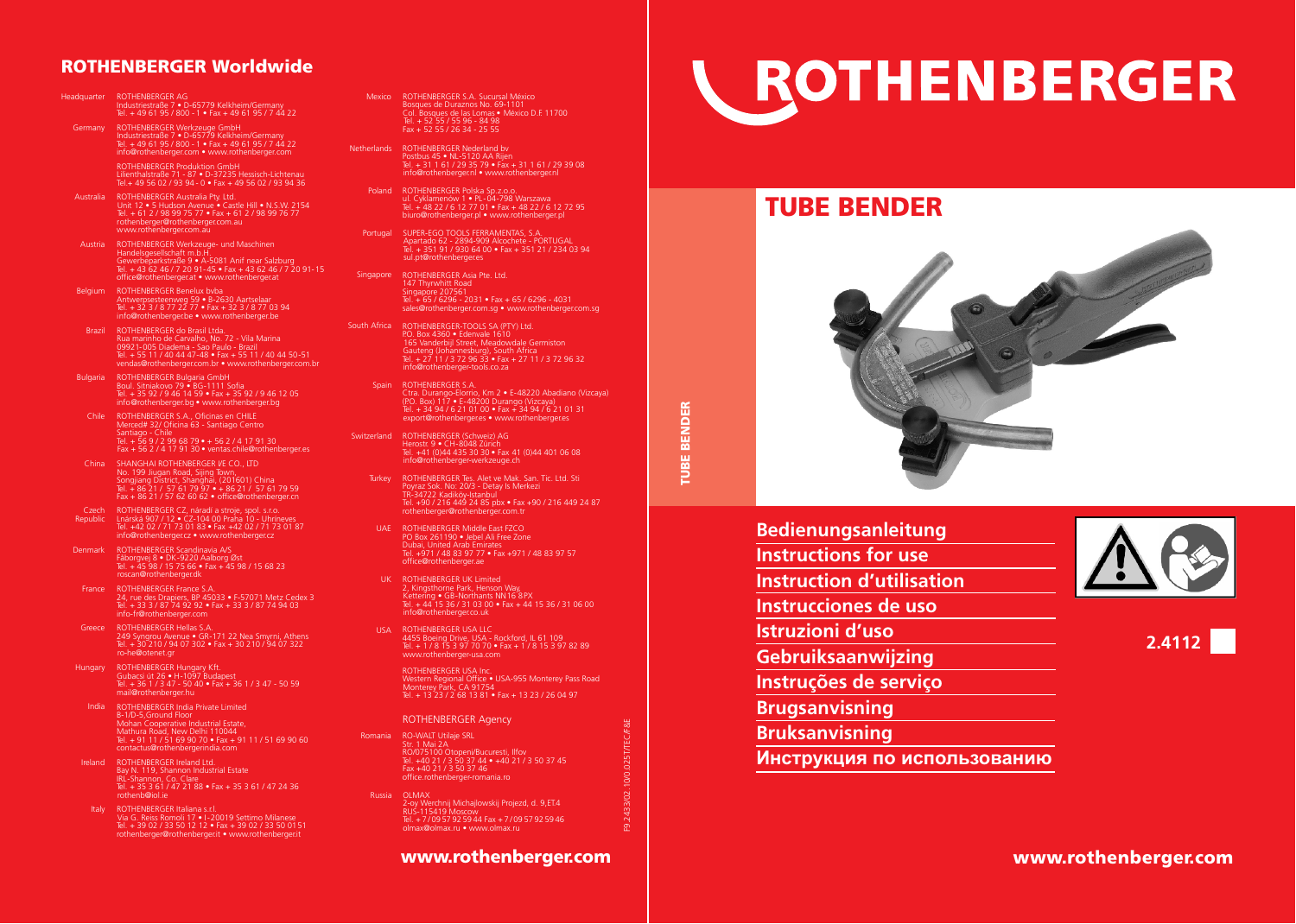## ROTHENBERGER Worldwide

- ROTHENBERGER AG Industriestraße 7 D-65779 Kelkheim/Germany Tel. + 49 61 95 / 800 1 Fax + 49 61 95 / 7 44 22 Headquarter
- Germany ROTHENBERGER Werkzeuge GmbH<br>Industriestraße 7 D-65779 Kelkheim/Germany<br>Rel. + 49 61 95 / 800 1 Fax + 49 61 95 / 7 44 22 " info@rothenberger.com • www.rothenberger.com

ROTHENBERGER Produktion GmbH Lilienthalstraße 71 - 87 • D-37235 Hessisch-Lichtenau Tel.+ 49 56 02 / 93 94 - 0 • Fax + 49 56 02 / 93 94 36

- Australia ROTHENBERGER Australia Pty. Ltd.<br>Unit 12 5 Hudson Avenue Castle Hill N.S.W. 2154<br>Tel. + 61 2 / 98 99 75 77 Fax + 61 2 / 98 99 76 77 rothenberger@rothenberger.com.au www.rothenberger.com.au
- ROTHENBERGER Werkzeuge- und Maschinen Austria Handelsgesellschaft m.b.H. Gewerbeparkstraße 9 • A-5081 Anif near Salzburg Tel. + 43 62 46 / 7 20 91-45 • Fax + 43 62 46 / 7 20 91-15 office@rothenberger.at • www.rothenberger.at

ROTHENBERGER Benelux bvba Antwerpsesteenweg 59 • B-2630 Aartselaar Tel. + 32 3 / 8 77 22 77 • Fax + 32 3 / 8 77 03 94 info@rothenberger.be • www.rothenberger.be Belgium ROTHENBERGER Benelux hyba

- Brazil ROTHENBERGER do Brasil Ltda. Rua marinho de Carvalho, No. 72 - Vila Marina 09921-005 Diadema - Sao Paulo - Brazil Tel. + 55 11 / 40 44 47-48 • Fax + 55 11 / 40 44 50-51 vendas@rothenberger.com.br • www.rothenberger.com.br
- ROTHENBERGER Bulgaria GmbH Boul. Sitniakovo 79 BG-1111 Sofia Tel. + 35 92 / 9 46 14 59 Fax + 35 92 / 9 46 12 05 Bulgaria info@rothenberger.bg • www.rothenberger.bg
- ROTHENBERGER S.A., Oficinas en CHILE Merced# 32/ Oficina 63 Santiago Centro Chile Santiago - Chile Tel. + 56 9 / 2 99 68 79 • + 56 2 / 4 17 91 30  $Fax + 56.2 / 4.17.91.30 \cdot \text{ventas}$  chile@rothenberger.es
- China SHANGHAI ROTHENBERGER VE CO., LTD No. 199 Jiugan Road, Sijing Town, Songjiang District, Shanghai, (201601) China Tel. + 86 21 / 57 61 79 97 • + 86 21 / 57 61 79 59 Fax + 86 21 / 57 62 60 62 • office@rothenberger.cn
- Czech ROTHENBERGER CZ, náradí a stroje, spol. s.r.o.<br>Republic Lnárská 907 / 12 CZ-104 00 Praha 10 Uhríneves<br>Tel. +42 02 / 71 73 01 83 Fax +42 02 / 71 73 01 87 info@rothenberger.cz • www.rothenberger.cz
- Denmark ROTHENBERGER Scandinavia A/S Fåborgvej 8 • DK-9220 Aalborg Øst Tel. + 45 98 / 15 75 66 • Fax + 45 98 / 15 68 23 roscan@rothenberger.dk
- France ROTHENBERGER France S.A.<br>24, rue des Drapiers, BP 45033 F-57071 Metz Cedex 3 Tel. + 33 3 / 87 74 92 92 • Fax + 33 3 / 87 74 94 03 info-fr@rothenberger.com
- ROTHENBERGER Hellas S.A. 249 Syngrou Avenue GR-171 22 Nea Smyrni, Athens Tel. + 30 210 / 94 07 302 Fax + 30 210 / 94 07 322 Greece ro-he@otenet.gr
- Hungary ROTHENBERGER Hungary Kft. Gubacsi út 26 • H-1097 Budapest Tel. + 36 1 / 3 47 - 50 40 • Fax + 36 1 / 3 47 - 50 59 mail@rothenberger.hu
- ROTHENBERGER India Private Limited India B-1/D-5,Ground Floor Mohan Cooperative Industrial Estate, Mathura Road, New Delhi 110044 Tel. + 91 11 / 51 69 90 70 • Fax + 91 11 / 51 69 90 60 contactus@rothenbergerindia.com
- Ireland ROTHENBERGER Ireland Ltd. Bay N. 119, Shannon Industrial Estate IRL-Shannon, Co. Clare Tel. + 35 3 61 / 47 21 88 • Fax + 35 3 61 / 47 24 36 rothenb@iol.ie
- Italy ROTHENBERGER Italiana s.rl. Via G. Reiss Romoli 17 • I-20019 Settimo Milanese Tel. + 39 02 / 33 50 12 12 • Fax + 39 02 / 33 50 0151 rothenberger@rothenberger.it • www.rothenberger.it
- ROTHENBERGER S.A. Sucursal México Mexico Bosques de Duraznos No. 69-1101 Col. Bosques de las Lomas • México D.F. 11700 Tel. + 52 55 / 55 96 - 84 98 Fax + 52 55 / 26 34 - 25 55
- Netherlands ROTHENBERGER Nederland bv Postbus 45 · NL-5120 AA Rijen Tel. + 31 1 61 / 29 35 79 • Fax + 31 1 61 / 29 39 08 info@rothenberger.nl • www.rothenberger.nl
	- ROTHENBERGER Polska Sp.z.o.o. ul. Cyklamenów 1 PL-04-798 Warszawa Tel. + 48 22 / 6 12 77 01 Fax + 48 22 / 6 12 72 95 Poland biuro@rothenberger.pl • www.rothenberger.pl<br>pluro@rothenberger.pl • www.rothenberger.pl
- SUPER-EGO TOOLS FERRAMENTAS, S.A. Apartado 62 2894-909 Alcochete PORTUGAL Tel. + 351 91 / 930 64 00 Fax + 351 21 / 234 03 94 sul.pt@rothenbergeres Portugal SUPER-EGO TOOLS FERRAMENTAS S.A.
- Singapore ROTHENBERGER Asia Pte. Ltd. 147 Thyrwhitt Road Singapore 207561 Tel. + 65 / 6296 - 2031 • Fax + 65 / 6296 - 4031 sales@rothenberger.com.sg • www.rothenberger.com.sg
- South Africa ROTHENBERGER-TOOLS SA (PTY) Ltd. P.O. Box 4360 • Edenvale 1610 165 Vanderbijl Street, Meadowdale Germiston Gauteng (Johannesburg), South Africa Tel. + 27 11 / 3 72 96 33 • Fax + 27 11 / 3 72 96 32 info@rothenberger-tools.co.za
- Spain ROTHENBERGER S.A. Ctra. Durango-Elorrio, Km 2 • E-48220 Abadiano (Vizcaya) (P.O. Box) 117 • E-48200 Durango (Vizcaya) Tel. + 34 94 / 6 21 01 00 • Fax + 34 94 / 6 21 01 31 export@rothenberger.es • www.rothenberger.es

TUBE BENDER

F9.2433/02.10/0.025T/TEC/F&E

33/02.

- Switzerland ROTHENBERGER (Schweiz) AG Herostr. 9 • CH-8048 Zürich Tel. +41 (0)44 435 30 30 • Fax 41 (0)44 401 06 08 info@rothenberger-werkzeuge.ch
	- Turkey ROTHENBERGER Tes. Alet ve Mak. San. Tic. Ltd. Sti Poyraz Sok. No: 20/3 - Detay Is Merkezi TR-34722 Kadiköy-Istanbul Tel. +90 / 216 449 24 85 pbx • Fax +90 / 216 449 24 87 rothenberger@rothenberger.com.tr
	- ROTHENBERGER Middle East FZCO PO Box 261190 Jebel Ali Free Zone UAE Dubai, United Arab Emirates Tel. +971 / 48 83 97 77 • Fax +971 / 48 83 97 57 office@rothenberger.ae
	- UK ROTHENBERGER UK Limited 2, Kingsthorne Park, Henson Way, Kettering • GB-Northants NN16 8PX Tel. + 44 15 36 / 31 03 00 • Fax + 44 15 36 / 31 06 00 info@rothenberger.co.uk
	- ROTHENBERGER USA LLC 4455 Boeing Drive, USA Rockford, IL 61 109 Tel. + 1 / 8 15 3 97 70 70 Fax + 1 / 8 15 3 97 82 89 USA www.rothenberger-usa.com
		- ROTHENBERGER USA Inc.<br>Western Regional Office USA-955 Monterey Pass Road<br>Monterey Park, CA 91754 Tel. + 13 23 / 2 68 13 81 • Fax + 13 23 / 26 04 97
		- ROTHENBERGER Agency
		- RO-WALT Utilaje SRL<br>Str. 1 Mai 2A<br>RO/075100 Otopeni/Bucuresti, Ilfov<br>Tel. +40 21 / 3 50 37 44 +40 21 / 3 50 37 45 Fax +40 21 / 3 50 37 46 office.rothenberger-romania.ro
	- OLMAX 2-oy Werchnij Michajlowskij Projezd, d. 9,ET.4 RUS-115419 Moscow Tel. + 7 / 09 57 92 59 44 Fax + 7 / 09 57 92 59 46 olmax@olmax.ru • www.olmax.ru Russia

#### www.rothenberger.com

# **L ROTHENBERGER**

# TUBE BENDER



- **Bedienungsanleitung Instructions for use Instruction d'utilisation Instrucciones de uso Istruzioni d'uso Gebruiksaanwijzing Instruções de serviço Brugsanvisning Bruksanvisning**
- **Инструкция по использованию**



**2.4112**

### www.rothenberger.com